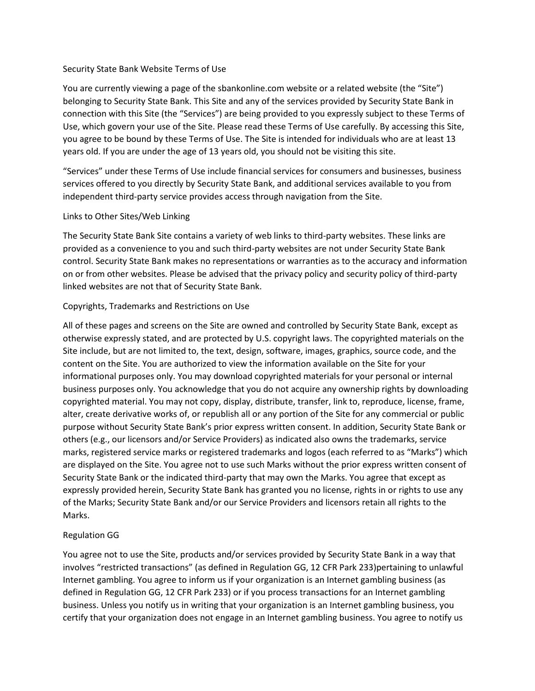#### Security State Bank Website Terms of Use

You are currently viewing a page of the sbankonline.com website or a related website (the "Site") belonging to Security State Bank. This Site and any of the services provided by Security State Bank in connection with this Site (the "Services") are being provided to you expressly subject to these Terms of Use, which govern your use of the Site. Please read these Terms of Use carefully. By accessing this Site, you agree to be bound by these Terms of Use. The Site is intended for individuals who are at least 13 years old. If you are under the age of 13 years old, you should not be visiting this site.

"Services" under these Terms of Use include financial services for consumers and businesses, business services offered to you directly by Security State Bank, and additional services available to you from independent third-party service provides access through navigation from the Site.

### Links to Other Sites/Web Linking

The Security State Bank Site contains a variety of web links to third-party websites. These links are provided as a convenience to you and such third-party websites are not under Security State Bank control. Security State Bank makes no representations or warranties as to the accuracy and information on or from other websites. Please be advised that the privacy policy and security policy of third-party linked websites are not that of Security State Bank.

### Copyrights, Trademarks and Restrictions on Use

All of these pages and screens on the Site are owned and controlled by Security State Bank, except as otherwise expressly stated, and are protected by U.S. copyright laws. The copyrighted materials on the Site include, but are not limited to, the text, design, software, images, graphics, source code, and the content on the Site. You are authorized to view the information available on the Site for your informational purposes only. You may download copyrighted materials for your personal or internal business purposes only. You acknowledge that you do not acquire any ownership rights by downloading copyrighted material. You may not copy, display, distribute, transfer, link to, reproduce, license, frame, alter, create derivative works of, or republish all or any portion of the Site for any commercial or public purpose without Security State Bank's prior express written consent. In addition, Security State Bank or others (e.g., our licensors and/or Service Providers) as indicated also owns the trademarks, service marks, registered service marks or registered trademarks and logos (each referred to as "Marks") which are displayed on the Site. You agree not to use such Marks without the prior express written consent of Security State Bank or the indicated third-party that may own the Marks. You agree that except as expressly provided herein, Security State Bank has granted you no license, rights in or rights to use any of the Marks; Security State Bank and/or our Service Providers and licensors retain all rights to the Marks.

### Regulation GG

You agree not to use the Site, products and/or services provided by Security State Bank in a way that involves "restricted transactions" (as defined in Regulation GG, 12 CFR Park 233)pertaining to unlawful Internet gambling. You agree to inform us if your organization is an Internet gambling business (as defined in Regulation GG, 12 CFR Park 233) or if you process transactions for an Internet gambling business. Unless you notify us in writing that your organization is an Internet gambling business, you certify that your organization does not engage in an Internet gambling business. You agree to notify us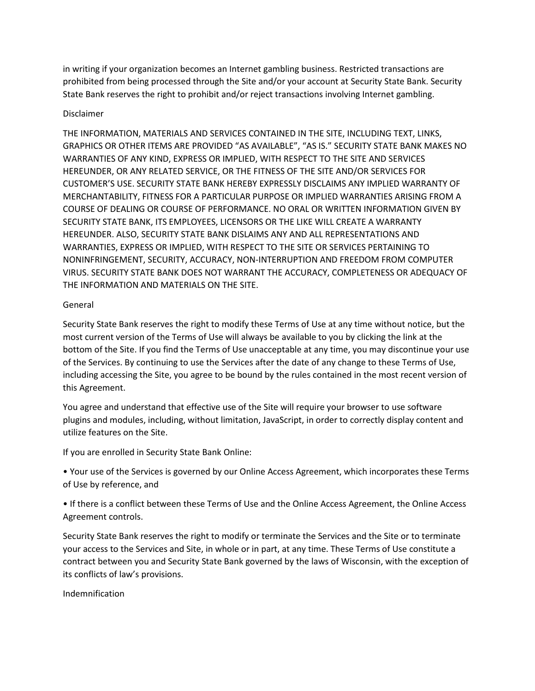in writing if your organization becomes an Internet gambling business. Restricted transactions are prohibited from being processed through the Site and/or your account at Security State Bank. Security State Bank reserves the right to prohibit and/or reject transactions involving Internet gambling.

# Disclaimer

THE INFORMATION, MATERIALS AND SERVICES CONTAINED IN THE SITE, INCLUDING TEXT, LINKS, GRAPHICS OR OTHER ITEMS ARE PROVIDED "AS AVAILABLE", "AS IS." SECURITY STATE BANK MAKES NO WARRANTIES OF ANY KIND, EXPRESS OR IMPLIED, WITH RESPECT TO THE SITE AND SERVICES HEREUNDER, OR ANY RELATED SERVICE, OR THE FITNESS OF THE SITE AND/OR SERVICES FOR CUSTOMER'S USE. SECURITY STATE BANK HEREBY EXPRESSLY DISCLAIMS ANY IMPLIED WARRANTY OF MERCHANTABILITY, FITNESS FOR A PARTICULAR PURPOSE OR IMPLIED WARRANTIES ARISING FROM A COURSE OF DEALING OR COURSE OF PERFORMANCE. NO ORAL OR WRITTEN INFORMATION GIVEN BY SECURITY STATE BANK, ITS EMPLOYEES, LICENSORS OR THE LIKE WILL CREATE A WARRANTY HEREUNDER. ALSO, SECURITY STATE BANK DISLAIMS ANY AND ALL REPRESENTATIONS AND WARRANTIES, EXPRESS OR IMPLIED, WITH RESPECT TO THE SITE OR SERVICES PERTAINING TO NONINFRINGEMENT, SECURITY, ACCURACY, NON-INTERRUPTION AND FREEDOM FROM COMPUTER VIRUS. SECURITY STATE BANK DOES NOT WARRANT THE ACCURACY, COMPLETENESS OR ADEQUACY OF THE INFORMATION AND MATERIALS ON THE SITE.

### General

Security State Bank reserves the right to modify these Terms of Use at any time without notice, but the most current version of the Terms of Use will always be available to you by clicking the link at the bottom of the Site. If you find the Terms of Use unacceptable at any time, you may discontinue your use of the Services. By continuing to use the Services after the date of any change to these Terms of Use, including accessing the Site, you agree to be bound by the rules contained in the most recent version of this Agreement.

You agree and understand that effective use of the Site will require your browser to use software plugins and modules, including, without limitation, JavaScript, in order to correctly display content and utilize features on the Site.

If you are enrolled in Security State Bank Online:

• Your use of the Services is governed by our Online Access Agreement, which incorporates these Terms of Use by reference, and

• If there is a conflict between these Terms of Use and the Online Access Agreement, the Online Access Agreement controls.

Security State Bank reserves the right to modify or terminate the Services and the Site or to terminate your access to the Services and Site, in whole or in part, at any time. These Terms of Use constitute a contract between you and Security State Bank governed by the laws of Wisconsin, with the exception of its conflicts of law's provisions.

Indemnification